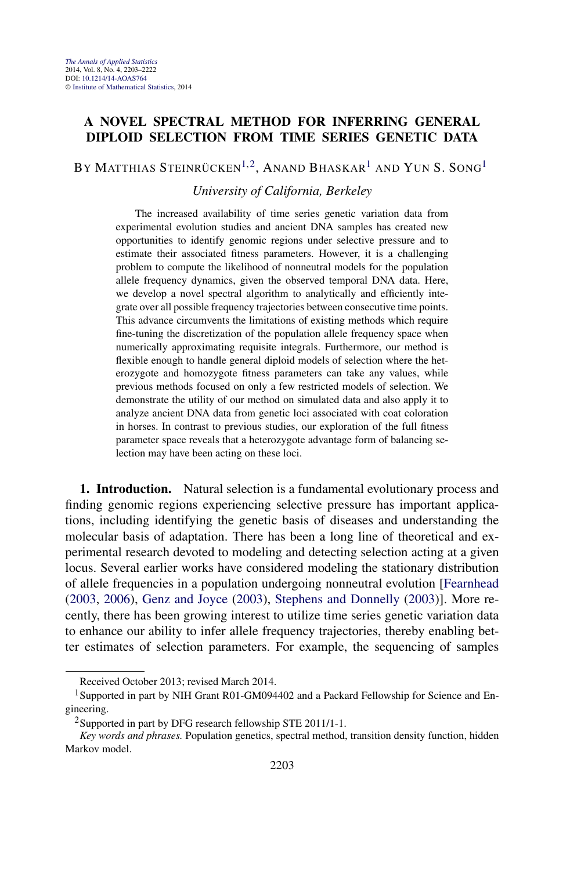## <span id="page-0-0"></span>**A NOVEL SPECTRAL METHOD FOR INFERRING GENERAL DIPLOID SELECTION FROM TIME SERIES GENETIC DATA**

BY MATTHIAS STEINRÜCKEN<sup>1,2</sup>, ANAND BHASKAR<sup>1</sup> AND YUN S. SONG<sup>1</sup>

*University of California, Berkeley*

The increased availability of time series genetic variation data from experimental evolution studies and ancient DNA samples has created new opportunities to identify genomic regions under selective pressure and to estimate their associated fitness parameters. However, it is a challenging problem to compute the likelihood of nonneutral models for the population allele frequency dynamics, given the observed temporal DNA data. Here, we develop a novel spectral algorithm to analytically and efficiently integrate over all possible frequency trajectories between consecutive time points. This advance circumvents the limitations of existing methods which require fine-tuning the discretization of the population allele frequency space when numerically approximating requisite integrals. Furthermore, our method is flexible enough to handle general diploid models of selection where the heterozygote and homozygote fitness parameters can take any values, while previous methods focused on only a few restricted models of selection. We demonstrate the utility of our method on simulated data and also apply it to analyze ancient DNA data from genetic loci associated with coat coloration in horses. In contrast to previous studies, our exploration of the full fitness parameter space reveals that a heterozygote advantage form of balancing selection may have been acting on these loci.

**1. Introduction.** Natural selection is a fundamental evolutionary process and finding genomic regions experiencing selective pressure has important applications, including identifying the genetic basis of diseases and understanding the molecular basis of adaptation. There has been a long line of theoretical and experimental research devoted to modeling and detecting selection acting at a given locus. Several earlier works have considered modeling the stationary distribution of allele frequencies in a population undergoing nonneutral evolution [\[Fearnhead](#page-18-0) [\(2003,](#page-18-0) [2006\)](#page-18-0), [Genz and Joyce](#page-18-0) [\(2003\)](#page-18-0), [Stephens and Donnelly](#page-19-0) [\(2003\)](#page-19-0)]. More recently, there has been growing interest to utilize time series genetic variation data to enhance our ability to infer allele frequency trajectories, thereby enabling better estimates of selection parameters. For example, the sequencing of samples

Received October 2013; revised March 2014.

<sup>&</sup>lt;sup>1</sup>Supported in part by NIH Grant R01-GM094402 and a Packard Fellowship for Science and Engineering.

<sup>&</sup>lt;sup>2</sup>Supported in part by DFG research fellowship STE 2011/1-1.

*Key words and phrases.* Population genetics, spectral method, transition density function, hidden Markov model.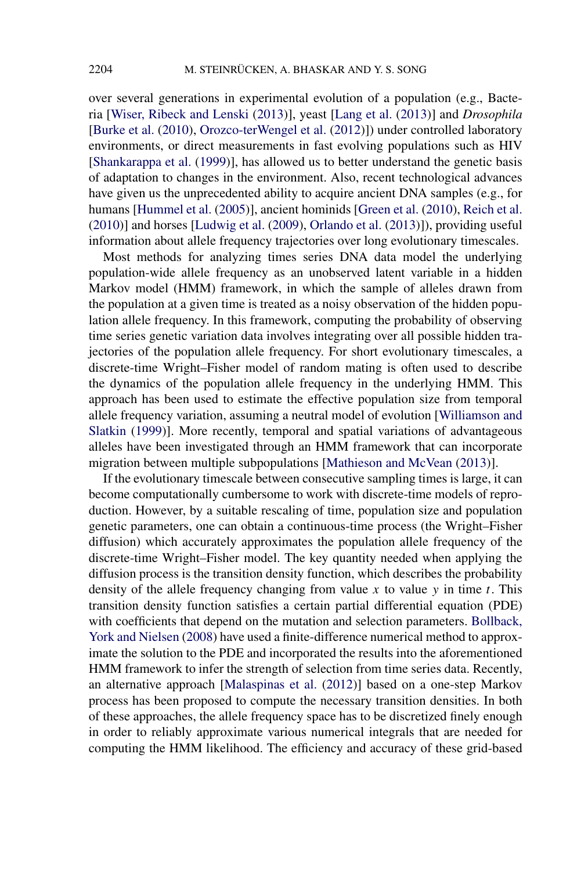over several generations in experimental evolution of a population (e.g., Bacteria [\[Wiser, Ribeck and Lenski](#page-19-0) [\(2013\)](#page-19-0)], yeast [\[Lang et al.](#page-18-0) [\(2013\)](#page-18-0)] and *Drosophila* [\[Burke et al.](#page-18-0) [\(2010\)](#page-18-0), [Orozco-terWengel et al.](#page-18-0) [\(2012\)](#page-18-0)]) under controlled laboratory environments, or direct measurements in fast evolving populations such as HIV [\[Shankarappa et al.](#page-19-0) [\(1999\)](#page-19-0)], has allowed us to better understand the genetic basis of adaptation to changes in the environment. Also, recent technological advances have given us the unprecedented ability to acquire ancient DNA samples (e.g., for humans [\[Hummel et al.](#page-18-0) [\(2005\)](#page-18-0)], ancient hominids [\[Green et al.](#page-18-0) [\(2010\)](#page-18-0), [Reich et al.](#page-18-0) [\(2010\)](#page-18-0)] and horses [\[Ludwig et al.](#page-18-0) [\(2009\)](#page-18-0), [Orlando et al.](#page-18-0) [\(2013\)](#page-18-0)]), providing useful information about allele frequency trajectories over long evolutionary timescales.

Most methods for analyzing times series DNA data model the underlying population-wide allele frequency as an unobserved latent variable in a hidden Markov model (HMM) framework, in which the sample of alleles drawn from the population at a given time is treated as a noisy observation of the hidden population allele frequency. In this framework, computing the probability of observing time series genetic variation data involves integrating over all possible hidden trajectories of the population allele frequency. For short evolutionary timescales, a discrete-time Wright–Fisher model of random mating is often used to describe the dynamics of the population allele frequency in the underlying HMM. This approach has been used to estimate the effective population size from temporal allele frequency variation, assuming a neutral model of evolution [\[Williamson and](#page-19-0) [Slatkin](#page-19-0) [\(1999\)](#page-19-0)]. More recently, temporal and spatial variations of advantageous alleles have been investigated through an HMM framework that can incorporate migration between multiple subpopulations [\[Mathieson and McVean](#page-18-0) [\(2013\)](#page-18-0)].

If the evolutionary timescale between consecutive sampling times is large, it can become computationally cumbersome to work with discrete-time models of reproduction. However, by a suitable rescaling of time, population size and population genetic parameters, one can obtain a continuous-time process (the Wright–Fisher diffusion) which accurately approximates the population allele frequency of the discrete-time Wright–Fisher model. The key quantity needed when applying the diffusion process is the transition density function, which describes the probability density of the allele frequency changing from value *x* to value *y* in time *t*. This transition density function satisfies a certain partial differential equation (PDE) with coefficients that depend on the mutation and selection parameters. [Bollback,](#page-17-0) [York and Nielsen](#page-17-0) [\(2008\)](#page-17-0) have used a finite-difference numerical method to approximate the solution to the PDE and incorporated the results into the aforementioned HMM framework to infer the strength of selection from time series data. Recently, an alternative approach [\[Malaspinas et al.](#page-18-0) [\(2012\)](#page-18-0)] based on a one-step Markov process has been proposed to compute the necessary transition densities. In both of these approaches, the allele frequency space has to be discretized finely enough in order to reliably approximate various numerical integrals that are needed for computing the HMM likelihood. The efficiency and accuracy of these grid-based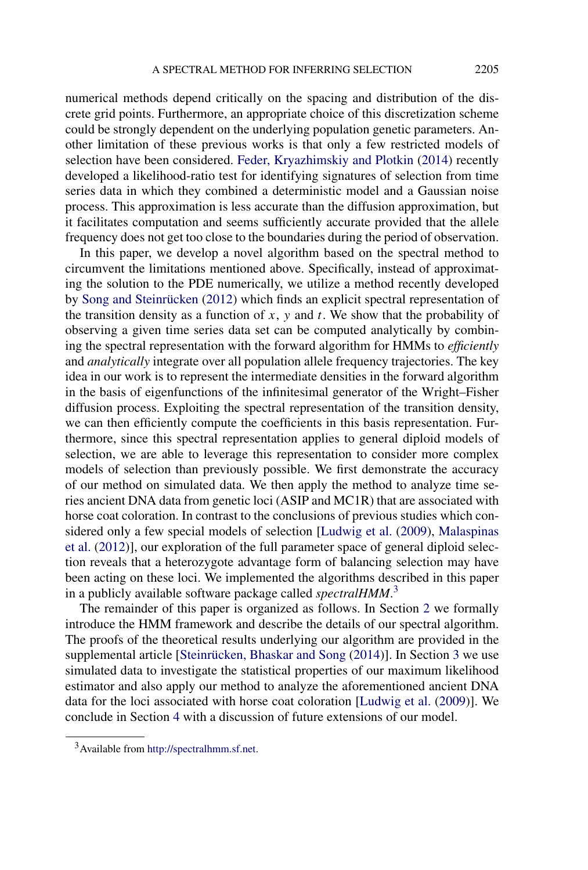numerical methods depend critically on the spacing and distribution of the discrete grid points. Furthermore, an appropriate choice of this discretization scheme could be strongly dependent on the underlying population genetic parameters. Another limitation of these previous works is that only a few restricted models of selection have been considered. [Feder, Kryazhimskiy and Plotkin](#page-18-0) [\(2014\)](#page-18-0) recently developed a likelihood-ratio test for identifying signatures of selection from time series data in which they combined a deterministic model and a Gaussian noise process. This approximation is less accurate than the diffusion approximation, but it facilitates computation and seems sufficiently accurate provided that the allele frequency does not get too close to the boundaries during the period of observation.

In this paper, we develop a novel algorithm based on the spectral method to circumvent the limitations mentioned above. Specifically, instead of approximating the solution to the PDE numerically, we utilize a method recently developed by [Song and Steinrücken](#page-19-0) [\(2012\)](#page-19-0) which finds an explicit spectral representation of the transition density as a function of  $x$ ,  $y$  and  $t$ . We show that the probability of observing a given time series data set can be computed analytically by combining the spectral representation with the forward algorithm for HMMs to *efficiently* and *analytically* integrate over all population allele frequency trajectories. The key idea in our work is to represent the intermediate densities in the forward algorithm in the basis of eigenfunctions of the infinitesimal generator of the Wright–Fisher diffusion process. Exploiting the spectral representation of the transition density, we can then efficiently compute the coefficients in this basis representation. Furthermore, since this spectral representation applies to general diploid models of selection, we are able to leverage this representation to consider more complex models of selection than previously possible. We first demonstrate the accuracy of our method on simulated data. We then apply the method to analyze time series ancient DNA data from genetic loci (ASIP and MC1R) that are associated with horse coat coloration. In contrast to the conclusions of previous studies which considered only a few special models of selection [\[Ludwig et al.](#page-18-0) [\(2009\)](#page-18-0), [Malaspinas](#page-18-0) [et al.](#page-18-0) [\(2012\)](#page-18-0)], our exploration of the full parameter space of general diploid selection reveals that a heterozygote advantage form of balancing selection may have been acting on these loci. We implemented the algorithms described in this paper in a publicly available software package called *spectralHMM*. 3

The remainder of this paper is organized as follows. In Section [2](#page-3-0) we formally introduce the HMM framework and describe the details of our spectral algorithm. The proofs of the theoretical results underlying our algorithm are provided in the supplemental article [\[Steinrücken, Bhaskar and Song](#page-19-0) [\(2014\)](#page-19-0)]. In Section [3](#page-9-0) we use simulated data to investigate the statistical properties of our maximum likelihood estimator and also apply our method to analyze the aforementioned ancient DNA data for the loci associated with horse coat coloration [\[Ludwig et al.](#page-18-0) [\(2009\)](#page-18-0)]. We conclude in Section [4](#page-15-0) with a discussion of future extensions of our model.

<sup>3</sup>Available from <http://spectralhmm.sf.net>.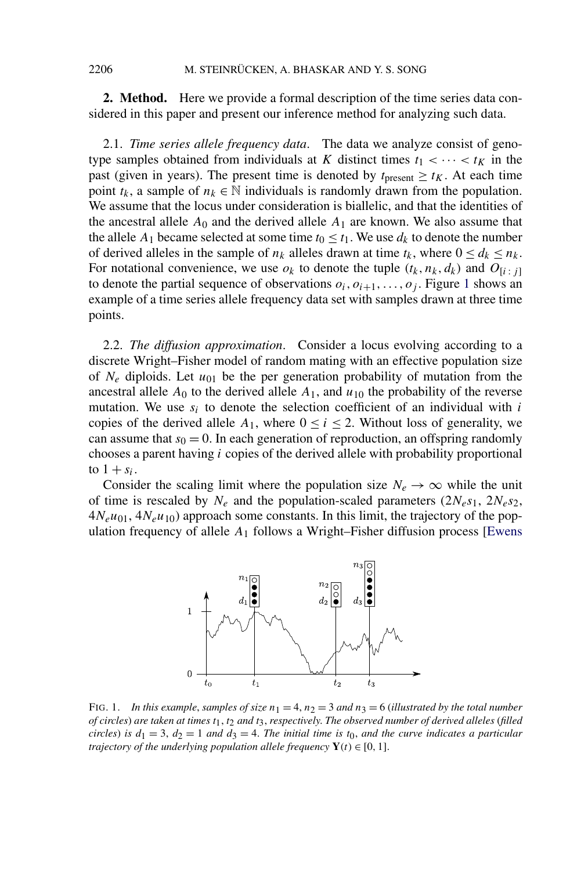<span id="page-3-0"></span>**2. Method.** Here we provide a formal description of the time series data considered in this paper and present our inference method for analyzing such data.

2.1. *Time series allele frequency data*. The data we analyze consist of genotype samples obtained from individuals at *K* distinct times  $t_1 < \cdots < t_K$  in the past (given in years). The present time is denoted by  $t_{\text{present}} \geq t_K$ . At each time point  $t_k$ , a sample of  $n_k \in \mathbb{N}$  individuals is randomly drawn from the population. We assume that the locus under consideration is biallelic, and that the identities of the ancestral allele  $A_0$  and the derived allele  $A_1$  are known. We also assume that the allele  $A_1$  became selected at some time  $t_0 \le t_1$ . We use  $d_k$  to denote the number of derived alleles in the sample of  $n_k$  alleles drawn at time  $t_k$ , where  $0 \le d_k \le n_k$ . For notational convenience, we use  $o_k$  to denote the tuple  $(t_k, n_k, d_k)$  and  $O[i : j]$ to denote the partial sequence of observations  $o_i$ ,  $o_{i+1}$ ,  $\dots$ ,  $o_j$ . Figure 1 shows an example of a time series allele frequency data set with samples drawn at three time points.

2.2. *The diffusion approximation*. Consider a locus evolving according to a discrete Wright–Fisher model of random mating with an effective population size of  $N_e$  diploids. Let  $u_{01}$  be the per generation probability of mutation from the ancestral allele  $A_0$  to the derived allele  $A_1$ , and  $u_{10}$  the probability of the reverse mutation. We use  $s_i$  to denote the selection coefficient of an individual with  $i$ copies of the derived allele  $A_1$ , where  $0 \le i \le 2$ . Without loss of generality, we can assume that  $s_0 = 0$ . In each generation of reproduction, an offspring randomly chooses a parent having *i* copies of the derived allele with probability proportional to  $1 + s_i$ .

Consider the scaling limit where the population size  $N_e \rightarrow \infty$  while the unit of time is rescaled by  $N_e$  and the population-scaled parameters  $(2N_e s_1, 2N_e s_2,$  $4N_eu_{01}$ ,  $4N_eu_{10}$ ) approach some constants. In this limit, the trajectory of the population frequency of allele  $A_1$  follows a Wright–Fisher diffusion process [\[Ewens](#page-18-0)



FIG. 1. *In this example, samples of size*  $n_1 = 4$ ,  $n_2 = 3$  *and*  $n_3 = 6$  (*illustrated by the total number of circles*) *are taken at times t*1, *t*2 *and t*3, *respectively*. *The observed number of derived alleles* (*filled circles*) *is*  $d_1 = 3$ ,  $d_2 = 1$  *and*  $d_3 = 4$ . *The initial time is*  $t_0$ *, and the curve indicates a particular trajectory of the underlying population allele frequency*  $\mathbf{Y}(t) \in [0, 1]$ *.*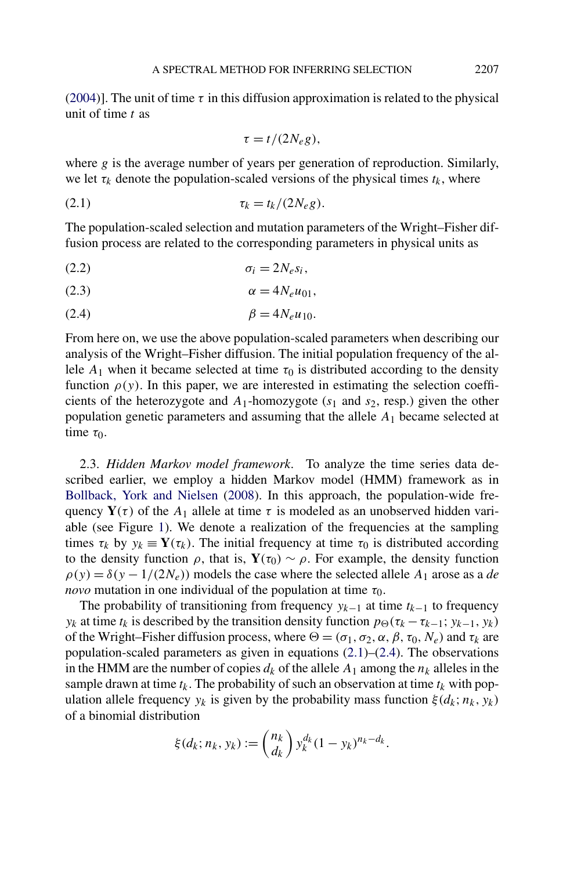<span id="page-4-0"></span>[\(2004\)](#page-18-0)]. The unit of time  $\tau$  in this diffusion approximation is related to the physical unit of time *t* as

$$
\tau = t/(2N_e g),
$$

where *g* is the average number of years per generation of reproduction. Similarly, we let  $\tau_k$  denote the population-scaled versions of the physical times  $t_k$ , where

$$
\tau_k = t_k/(2N_e g).
$$

The population-scaled selection and mutation parameters of the Wright–Fisher diffusion process are related to the corresponding parameters in physical units as

$$
\sigma_i = 2N_e s_i,
$$

$$
\alpha = 4N_e u_{01},
$$

$$
\beta = 4N_e u_{10}.
$$

From here on, we use the above population-scaled parameters when describing our analysis of the Wright–Fisher diffusion. The initial population frequency of the allele  $A_1$  when it became selected at time  $\tau_0$  is distributed according to the density function  $\rho(y)$ . In this paper, we are interested in estimating the selection coefficients of the heterozygote and  $A_1$ -homozygote ( $s_1$  and  $s_2$ , resp.) given the other population genetic parameters and assuming that the allele *A*<sup>1</sup> became selected at time  $\tau_0$ .

2.3. *Hidden Markov model framework*. To analyze the time series data described earlier, we employ a hidden Markov model (HMM) framework as in [Bollback, York and Nielsen](#page-17-0) [\(2008\)](#page-17-0). In this approach, the population-wide frequency  $Y(\tau)$  of the  $A_1$  allele at time  $\tau$  is modeled as an unobserved hidden variable (see Figure [1\)](#page-3-0). We denote a realization of the frequencies at the sampling times  $\tau_k$  by  $y_k \equiv \mathbf{Y}(\tau_k)$ . The initial frequency at time  $\tau_0$  is distributed according to the density function  $\rho$ , that is,  $\mathbf{Y}(\tau_0) \sim \rho$ . For example, the density function  $\rho(y) = \delta(y - 1/(2N_e))$  models the case where the selected allele  $A_1$  arose as a *de novo* mutation in one individual of the population at time  $\tau_0$ .

The probability of transitioning from frequency  $y_{k-1}$  at time  $t_{k-1}$  to frequency *y<sub>k</sub>* at time  $t_k$  is described by the transition density function  $p_{\Theta}(\tau_k - \tau_{k-1}; y_{k-1}, y_k)$ of the Wright–Fisher diffusion process, where  $\Theta = (\sigma_1, \sigma_2, \alpha, \beta, \tau_0, N_e)$  and  $\tau_k$  are population-scaled parameters as given in equations  $(2.1)$ – $(2.4)$ . The observations in the HMM are the number of copies  $d_k$  of the allele  $A_1$  among the  $n_k$  alleles in the sample drawn at time  $t_k$ . The probability of such an observation at time  $t_k$  with population allele frequency  $y_k$  is given by the probability mass function  $\xi(d_k; n_k, y_k)$ of a binomial distribution

$$
\xi(d_k; n_k, y_k) := \binom{n_k}{d_k} y_k^{d_k} (1 - y_k)^{n_k - d_k}.
$$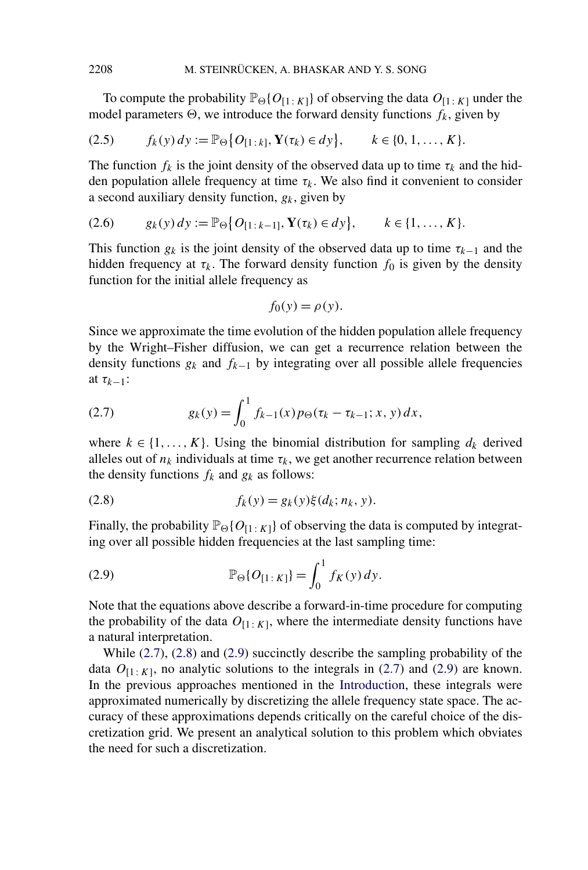<span id="page-5-0"></span>To compute the probability  $\mathbb{P}_{\Theta}\{O_{[1 : K]}\}$  of observing the data  $O_{[1 : K]}$  under the model parameters  $\Theta$ , we introduce the forward density functions  $f_k$ , given by

(2.5) 
$$
f_k(y) dy := \mathbb{P}_{\Theta} \{ O_{[1:k]}, Y(\tau_k) \in dy \}, \qquad k \in \{0, 1, ..., K\}.
$$

The function  $f_k$  is the joint density of the observed data up to time  $\tau_k$  and the hidden population allele frequency at time  $\tau_k$ . We also find it convenient to consider a second auxiliary density function, *gk*, given by

$$
(2.6) \t gk(y) dy := \mathbb{P}_{\Theta} \{ O_{[1:k-1]}, Y(\tau_k) \in dy \}, \t k \in \{1, ..., K\}.
$$

This function  $g_k$  is the joint density of the observed data up to time  $\tau_{k-1}$  and the hidden frequency at  $\tau_k$ . The forward density function  $f_0$  is given by the density function for the initial allele frequency as

$$
f_0(y) = \rho(y).
$$

Since we approximate the time evolution of the hidden population allele frequency by the Wright–Fisher diffusion, we can get a recurrence relation between the density functions  $g_k$  and  $f_{k-1}$  by integrating over all possible allele frequencies at  $\tau_{k-1}$ :

(2.7) 
$$
g_k(y) = \int_0^1 f_{k-1}(x) p_{\Theta}(\tau_k - \tau_{k-1}; x, y) dx,
$$

where  $k \in \{1, ..., K\}$ . Using the binomial distribution for sampling  $d_k$  derived alleles out of  $n_k$  individuals at time  $\tau_k$ , we get another recurrence relation between the density functions  $f_k$  and  $g_k$  as follows:

(2.8) 
$$
f_k(y) = g_k(y)\xi(d_k; n_k, y).
$$

Finally, the probability  $\mathbb{P}_{\Theta}\{O_{[1 : K]}\}$  of observing the data is computed by integrating over all possible hidden frequencies at the last sampling time:

(2.9) 
$$
\mathbb{P}_{\Theta}\{O_{[1:K]}\} = \int_0^1 f_K(y) \, dy.
$$

Note that the equations above describe a forward-in-time procedure for computing the probability of the data  $O_{[1:K]}$ , where the intermediate density functions have a natural interpretation.

While (2.7), (2.8) and (2.9) succinctly describe the sampling probability of the data  $O_{[1:K]}$ , no analytic solutions to the integrals in (2.7) and (2.9) are known. In the previous approaches mentioned in the [Introduction,](#page-0-0) these integrals were approximated numerically by discretizing the allele frequency state space. The accuracy of these approximations depends critically on the careful choice of the discretization grid. We present an analytical solution to this problem which obviates the need for such a discretization.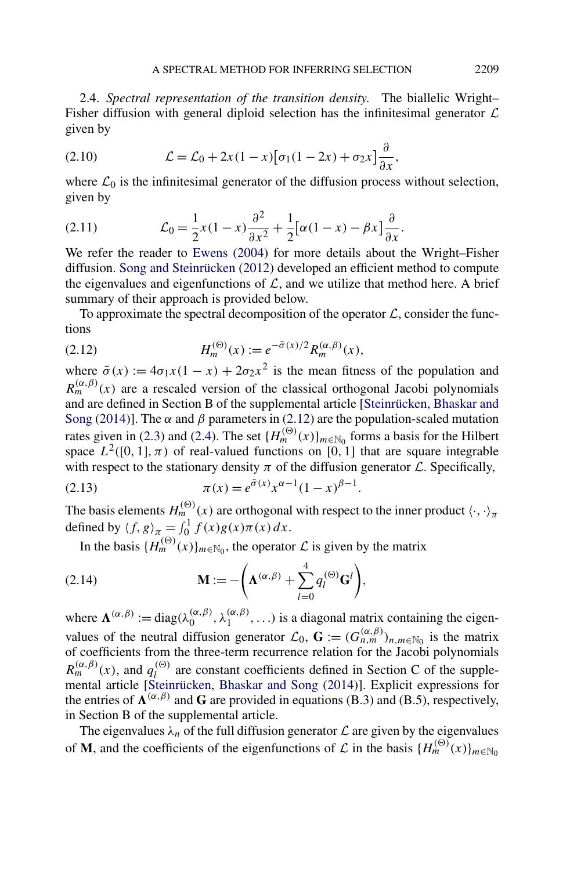<span id="page-6-0"></span>2.4. *Spectral representation of the transition density*. The biallelic Wright– Fisher diffusion with general diploid selection has the infinitesimal generator  $\mathcal L$ given by

(2.10) 
$$
\mathcal{L} = \mathcal{L}_0 + 2x(1-x)[\sigma_1(1-2x) + \sigma_2x] \frac{\partial}{\partial x},
$$

where  $\mathcal{L}_0$  is the infinitesimal generator of the diffusion process without selection, given by

(2.11) 
$$
\mathcal{L}_0 = \frac{1}{2}x(1-x)\frac{\partial^2}{\partial x^2} + \frac{1}{2}[\alpha(1-x) - \beta x]\frac{\partial}{\partial x}.
$$

We refer the reader to [Ewens](#page-18-0) [\(2004\)](#page-18-0) for more details about the Wright–Fisher diffusion. [Song and Steinrücken](#page-19-0) [\(2012\)](#page-19-0) developed an efficient method to compute the eigenvalues and eigenfunctions of  $\mathcal{L}$ , and we utilize that method here. A brief summary of their approach is provided below.

To approximate the spectral decomposition of the operator  $\mathcal{L}$ , consider the functions

(2.12) 
$$
H_m^{(\Theta)}(x) := e^{-\bar{\sigma}(x)/2} R_m^{(\alpha,\beta)}(x),
$$

where  $\bar{\sigma}(x) := 4\sigma_1 x (1 - x) + 2\sigma_2 x^2$  is the mean fitness of the population and  $R_m^{(\alpha,\beta)}(x)$  are a rescaled version of the classical orthogonal Jacobi polynomials and are defined in Section B of the supplemental article [\[Steinrücken, Bhaskar and](#page-19-0) [Song](#page-19-0) [\(2014\)](#page-19-0)]. The  $\alpha$  and  $\beta$  parameters in (2.12) are the population-scaled mutation rates given in [\(2.3\)](#page-4-0) and [\(2.4\)](#page-4-0). The set  ${H_m^{(\Theta)}(x)}_{m \in \mathbb{N}_0}$  forms a basis for the Hilbert space  $L^2([0, 1], \pi)$  of real-valued functions on [0, 1] that are square integrable with respect to the stationary density  $\pi$  of the diffusion generator  $\mathcal{L}$ . Specifically,

(2.13) 
$$
\pi(x) = e^{\bar{\sigma}(x)} x^{\alpha - 1} (1 - x)^{\beta - 1}.
$$

The basis elements  $H_{m}^{(\Theta)}(x)$  are orthogonal with respect to the inner product  $\langle \cdot, \cdot \rangle_{\pi}$ defined by  $\langle f, g \rangle_{\pi} = \int_0^1 f(x)g(x)\pi(x) dx$ .

In the basis  ${H_m^{(\Theta)}(x)}_{m \in \mathbb{N}_0}$ , the operator  $\mathcal L$  is given by the matrix

(2.14) 
$$
\mathbf{M} := -\left(\mathbf{\Lambda}^{(\alpha,\beta)} + \sum_{l=0}^{4} q_l^{(\Theta)} \mathbf{G}^l\right),
$$

where  $\Lambda^{(\alpha,\beta)} := \text{diag}(\lambda_0^{(\alpha,\beta)}, \lambda_1^{(\alpha,\beta)}, \ldots)$  is a diagonal matrix containing the eigenvalues of the neutral diffusion generator  $\mathcal{L}_0$ ,  $\mathbf{G} := (G_{n,m}^{(\alpha,\beta)})_{n,m \in \mathbb{N}_0}$  is the matrix of coefficients from the three-term recurrence relation for the Jacobi polynomials  $R_m^{(\alpha,\beta)}(x)$ , and  $q_l^{(\Theta)}$  are constant coefficients defined in Section C of the supple-mental article [\[Steinrücken, Bhaskar and Song](#page-19-0)  $(2014)$ ]. Explicit expressions for the entries of  $\Lambda^{(\alpha,\beta)}$  and **G** are provided in equations (B.3) and (B.5), respectively, in Section B of the supplemental article.

The eigenvalues  $\lambda_n$  of the full diffusion generator  $\mathcal L$  are given by the eigenvalues of **M**, and the coefficients of the eigenfunctions of  $\mathcal{L}$  in the basis  ${H_m^{(\Theta)}(x)}_{m \in \mathbb{N}_0}$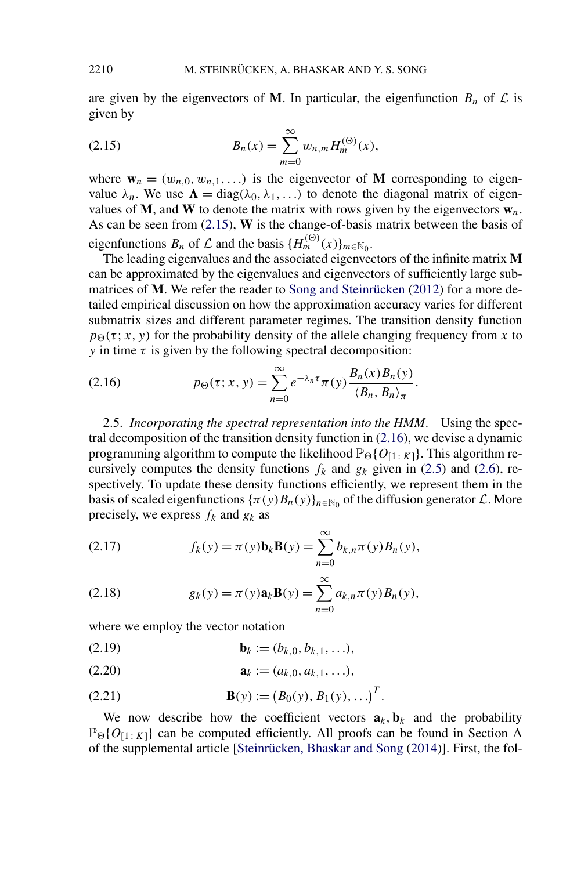are given by the eigenvectors of **M**. In particular, the eigenfunction  $B_n$  of  $\mathcal{L}$  is given by

(2.15) 
$$
B_n(x) = \sum_{m=0}^{\infty} w_{n,m} H_m^{(\Theta)}(x),
$$

where  $\mathbf{w}_n = (w_{n,0}, w_{n,1}, \ldots)$  is the eigenvector of **M** corresponding to eigenvalue  $\lambda_n$ . We use  $\Lambda = \text{diag}(\lambda_0, \lambda_1, \ldots)$  to denote the diagonal matrix of eigenvalues of **M**, and **W** to denote the matrix with rows given by the eigenvectors  $w_n$ . As can be seen from (2.15), **W** is the change-of-basis matrix between the basis of eigenfunctions  $B_n$  of  $\mathcal L$  and the basis  $\{H_m^{(\Theta)}(x)\}_{m \in \mathbb N_0}$ .

The leading eigenvalues and the associated eigenvectors of the infinite matrix **M** can be approximated by the eigenvalues and eigenvectors of sufficiently large submatrices of **M**. We refer the reader to [Song and Steinrücken](#page-19-0) [\(2012\)](#page-19-0) for a more detailed empirical discussion on how the approximation accuracy varies for different submatrix sizes and different parameter regimes. The transition density function  $p_{\Theta}(\tau; x, y)$  for the probability density of the allele changing frequency from x to *y* in time *τ* is given by the following spectral decomposition:

(2.16) 
$$
p_{\Theta}(\tau; x, y) = \sum_{n=0}^{\infty} e^{-\lambda_n \tau} \pi(y) \frac{B_n(x) B_n(y)}{\langle B_n, B_n \rangle_{\pi}}.
$$

2.5. *Incorporating the spectral representation into the HMM*. Using the spectral decomposition of the transition density function in (2.16), we devise a dynamic programming algorithm to compute the likelihood  $\mathbb{P}_{\Theta}\{O_{[1:K]}\}\$ . This algorithm recursively computes the density functions  $f_k$  and  $g_k$  given in [\(2.5\)](#page-5-0) and [\(2.6\)](#page-5-0), respectively. To update these density functions efficiently, we represent them in the basis of scaled eigenfunctions  $\{\pi(y)B_n(y)\}_{n\in\mathbb{N}_0}$  of the diffusion generator  $\mathcal{L}$ . More precisely, we express *fk* and *gk* as

(2.17) 
$$
f_k(y) = \pi(y)\mathbf{b}_k \mathbf{B}(y) = \sum_{n=0}^{\infty} b_{k,n} \pi(y) B_n(y),
$$

(2.18) 
$$
g_k(y) = \pi(y)\mathbf{a}_k \mathbf{B}(y) = \sum_{n=0}^{\infty} a_{k,n} \pi(y) B_n(y),
$$

where we employ the vector notation

(2.19) 
$$
\mathbf{b}_k := (b_{k,0}, b_{k,1}, \ldots),
$$

$$
(2.20) \t\t ak := (ak,0, ak,1,...),
$$

(2.21) 
$$
\mathbf{B}(y) := (B_0(y), B_1(y), \ldots)^T.
$$

We now describe how the coefficient vectors  $\mathbf{a}_k$ ,  $\mathbf{b}_k$  and the probability  $\mathbb{P}_{\Theta}\{O_{[1:K]}\}\)$  can be computed efficiently. All proofs can be found in Section A of the supplemental article [\[Steinrücken, Bhaskar and Song](#page-19-0) [\(2014\)](#page-19-0)]. First, the fol-

<span id="page-7-0"></span>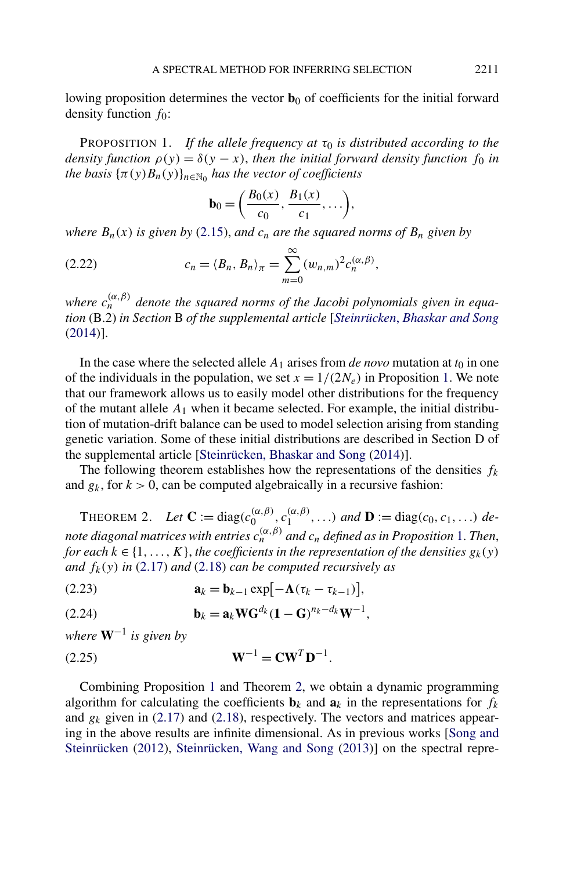<span id="page-8-0"></span>lowing proposition determines the vector  $\mathbf{b}_0$  of coefficients for the initial forward density function *f*0:

**PROPOSITION 1.** *If the allele frequency at*  $\tau_0$  *is distributed according to the density function*  $\rho(y) = \delta(y - x)$ , *then the initial forward density function*  $f_0$  *in the basis*  ${\pi(y)B_n(y)}_{n \in \mathbb{N}_0}$  *has the vector of coefficients* 

$$
\mathbf{b}_0 = \left(\frac{B_0(x)}{c_0}, \frac{B_1(x)}{c_1}, \ldots\right),\,
$$

*where*  $B_n(x)$  *is given by* [\(2.15\)](#page-7-0), *and*  $c_n$  *are the squared norms of*  $B_n$  *given by* 

(2.22) 
$$
c_n = (B_n, B_n)_{\pi} = \sum_{m=0}^{\infty} (w_{n,m})^2 c_n^{(\alpha,\beta)},
$$

where  $c_n^{(\alpha,\beta)}$  denote the squared norms of the Jacobi polynomials given in equa*tion* (B.2) *in Section* B *of the supplemental article* [*Steinrücken*, *[Bhaskar and Song](#page-19-0)* [\(2014\)](#page-19-0)].

In the case where the selected allele  $A_1$  arises from *de novo* mutation at  $t_0$  in one of the individuals in the population, we set  $x = 1/(2N_e)$  in Proposition 1. We note that our framework allows us to easily model other distributions for the frequency of the mutant allele  $A_1$  when it became selected. For example, the initial distribution of mutation-drift balance can be used to model selection arising from standing genetic variation. Some of these initial distributions are described in Section D of the supplemental article [\[Steinrücken, Bhaskar and Song](#page-19-0) [\(2014\)](#page-19-0)].

The following theorem establishes how the representations of the densities  $f_k$ and  $g_k$ , for  $k > 0$ , can be computed algebraically in a recursive fashion:

THEOREM 2. Let  $C := diag(c_0^{(\alpha,\beta)}, c_1^{(\alpha,\beta)}, \ldots)$  and  $D := diag(c_0, c_1, \ldots)$  de*note diagonal matrices with entries*  $c_n^{(\alpha,\beta)}$  *and*  $c_n$  *defined as in Proposition 1. Then, for each*  $k \in \{1, \ldots, K\}$ , *the coefficients in the representation of the densities*  $g_k(y)$ *and fk(y) in* [\(2.17\)](#page-7-0) *and* [\(2.18\)](#page-7-0) *can be computed recursively as*

(2.23)  $\mathbf{a}_k = \mathbf{b}_{k-1} \exp[-\mathbf{\Lambda}(\tau_k - \tau_{k-1})],$ 

$$
\mathbf{b}_k = \mathbf{a}_k \mathbf{W} \mathbf{G}^{d_k} (\mathbf{1} - \mathbf{G})^{n_k - d_k} \mathbf{W}^{-1},
$$

*where* **W**−<sup>1</sup> *is given by*

$$
\mathbf{W}^{-1} = \mathbf{C}\mathbf{W}^T \mathbf{D}^{-1}.
$$

Combining Proposition 1 and Theorem 2, we obtain a dynamic programming algorithm for calculating the coefficients  $\mathbf{b}_k$  and  $\mathbf{a}_k$  in the representations for  $f_k$ and  $g_k$  given in  $(2.17)$  and  $(2.18)$ , respectively. The vectors and matrices appearing in the above results are infinite dimensional. As in previous works [\[Song and](#page-19-0) [Steinrücken](#page-19-0) [\(2012\)](#page-19-0), [Steinrücken, Wang and Song](#page-19-0) [\(2013\)](#page-19-0)] on the spectral repre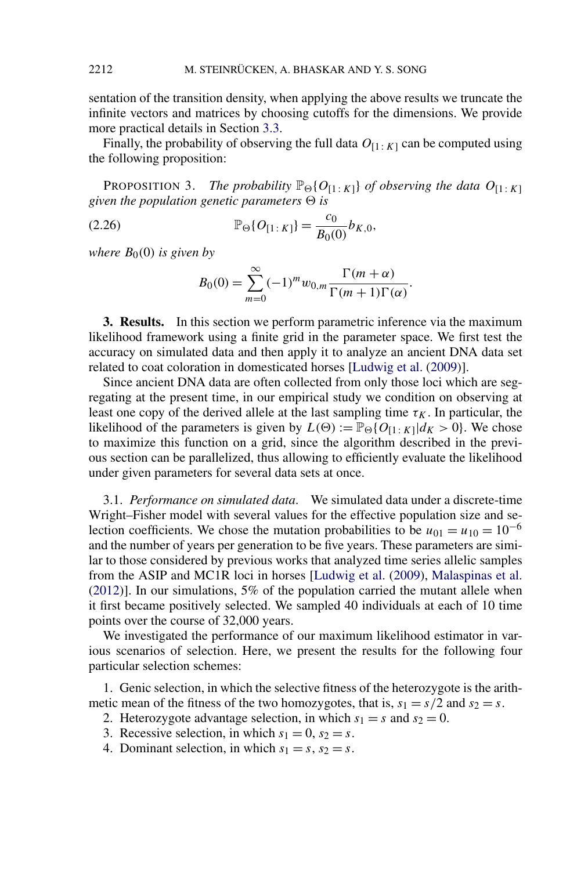<span id="page-9-0"></span>sentation of the transition density, when applying the above results we truncate the infinite vectors and matrices by choosing cutoffs for the dimensions. We provide more practical details in Section [3.3.](#page-13-0)

Finally, the probability of observing the full data  $O_{[1:K]}$  can be computed using the following proposition:

**PROPOSITION 3.** *The probability*  $\mathbb{P}_{\Theta}\{O_{[1:K]}\}$  *of observing the data*  $O_{[1:K]}$ *given the population genetic parameters*  $\Theta$  *is* 

(2.26) 
$$
\mathbb{P}_{\Theta}\{O_{[1:K]}\} = \frac{c_0}{B_0(0)}b_{K,0},
$$

*where*  $B_0(0)$  *is given by* 

$$
B_0(0) = \sum_{m=0}^{\infty} (-1)^m w_{0,m} \frac{\Gamma(m+\alpha)}{\Gamma(m+1)\Gamma(\alpha)}.
$$

**3. Results.** In this section we perform parametric inference via the maximum likelihood framework using a finite grid in the parameter space. We first test the accuracy on simulated data and then apply it to analyze an ancient DNA data set related to coat coloration in domesticated horses [\[Ludwig et al.](#page-18-0) [\(2009\)](#page-18-0)].

Since ancient DNA data are often collected from only those loci which are segregating at the present time, in our empirical study we condition on observing at least one copy of the derived allele at the last sampling time  $\tau_K$ . In particular, the likelihood of the parameters is given by  $L(\Theta) := \mathbb{P}_{\Theta}[O_{[1 : K]}|d_K > 0]$ . We chose to maximize this function on a grid, since the algorithm described in the previous section can be parallelized, thus allowing to efficiently evaluate the likelihood under given parameters for several data sets at once.

3.1. *Performance on simulated data*. We simulated data under a discrete-time Wright–Fisher model with several values for the effective population size and selection coefficients. We chose the mutation probabilities to be  $u_{01} = u_{10} = 10^{-6}$ and the number of years per generation to be five years. These parameters are similar to those considered by previous works that analyzed time series allelic samples from the ASIP and MC1R loci in horses [\[Ludwig et al.](#page-18-0) [\(2009\)](#page-18-0), [Malaspinas et al.](#page-18-0) [\(2012\)](#page-18-0)]. In our simulations, 5% of the population carried the mutant allele when it first became positively selected. We sampled 40 individuals at each of 10 time points over the course of 32,000 years.

We investigated the performance of our maximum likelihood estimator in various scenarios of selection. Here, we present the results for the following four particular selection schemes:

1. Genic selection, in which the selective fitness of the heterozygote is the arithmetic mean of the fitness of the two homozygotes, that is,  $s_1 = s/2$  and  $s_2 = s$ .

- 2. Heterozygote advantage selection, in which  $s_1 = s$  and  $s_2 = 0$ .
- 3. Recessive selection, in which  $s_1 = 0$ ,  $s_2 = s$ .
- 4. Dominant selection, in which  $s_1 = s$ ,  $s_2 = s$ .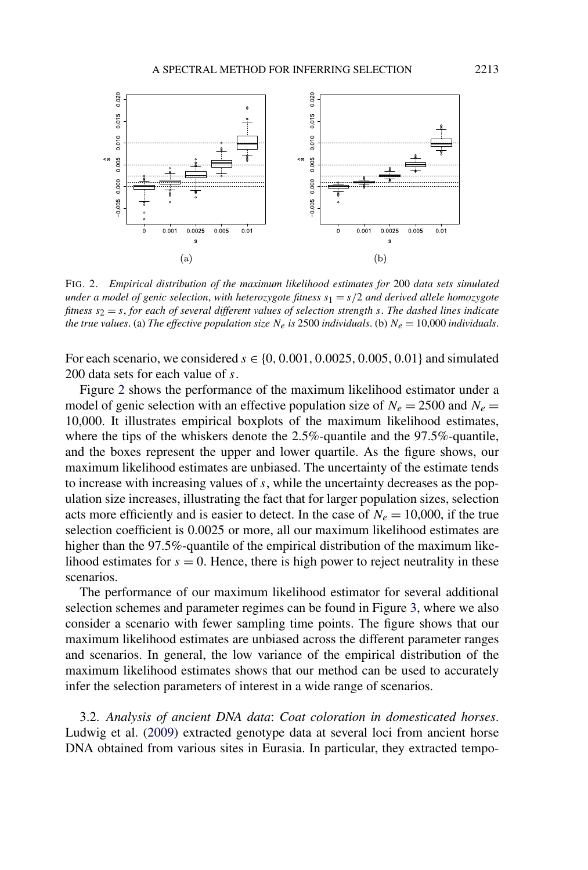<span id="page-10-0"></span>

FIG. 2. *Empirical distribution of the maximum likelihood estimates for* 200 *data sets simulated under a model of genic selection*, *with heterozygote fitness s*<sup>1</sup> = *s/*2 *and derived allele homozygote fitness s*<sup>2</sup> = *s*, *for each of several different values of selection strength s*. *The dashed lines indicate the true values.* (a) *The effective population size*  $N_e$  *is* 2500 *individuals.* (b)  $N_e = 10,000$  *individuals.* 

For each scenario, we considered *s* ∈ {0*,* 0*.*001*,* 0*.*0025*,* 0*.*005*,* 0*.*01} and simulated 200 data sets for each value of *s*.

Figure 2 shows the performance of the maximum likelihood estimator under a model of genic selection with an effective population size of  $N_e = 2500$  and  $N_e =$ 10,000. It illustrates empirical boxplots of the maximum likelihood estimates, where the tips of the whiskers denote the 2.5%-quantile and the 97.5%-quantile, and the boxes represent the upper and lower quartile. As the figure shows, our maximum likelihood estimates are unbiased. The uncertainty of the estimate tends to increase with increasing values of *s*, while the uncertainty decreases as the population size increases, illustrating the fact that for larger population sizes, selection acts more efficiently and is easier to detect. In the case of  $N_e = 10,000$ , if the true selection coefficient is 0*.*0025 or more, all our maximum likelihood estimates are higher than the 97.5%-quantile of the empirical distribution of the maximum likelihood estimates for  $s = 0$ . Hence, there is high power to reject neutrality in these scenarios.

The performance of our maximum likelihood estimator for several additional selection schemes and parameter regimes can be found in Figure [3,](#page-11-0) where we also consider a scenario with fewer sampling time points. The figure shows that our maximum likelihood estimates are unbiased across the different parameter ranges and scenarios. In general, the low variance of the empirical distribution of the maximum likelihood estimates shows that our method can be used to accurately infer the selection parameters of interest in a wide range of scenarios.

3.2. *Analysis of ancient DNA data*: *Coat coloration in domesticated horses*. Ludwig et al. [\(2009\)](#page-18-0) extracted genotype data at several loci from ancient horse DNA obtained from various sites in Eurasia. In particular, they extracted tempo-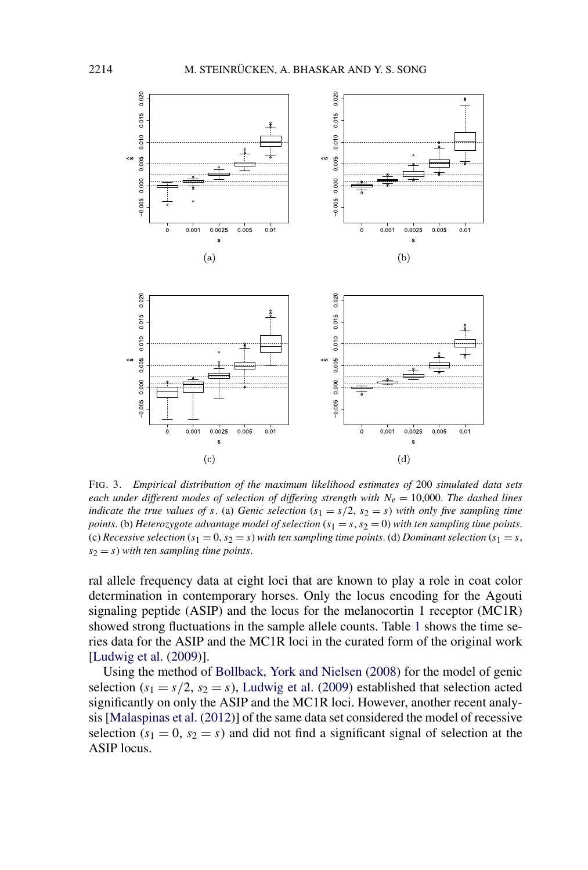<span id="page-11-0"></span>

FIG. 3. *Empirical distribution of the maximum likelihood estimates of* 200 *simulated data sets each under different modes of selection of differing strength with*  $N_e = 10,000$ . The dashed lines *indicate the true values of s.* (a) *Genic selection*  $(s_1 = s/2, s_2 = s)$  *with only five sampling time points.* (b) *Heterozygote advantage model of selection*  $(s_1 = s, s_2 = 0)$  *with ten sampling time points.* (c) *Recessive selection*  $(s_1 = 0, s_2 = s)$  *with ten sampling time points.* (d) *Dominant selection*  $(s_1 = s)$ ,  $s_2 = s$ ) with ten sampling time points.

ral allele frequency data at eight loci that are known to play a role in coat color determination in contemporary horses. Only the locus encoding for the Agouti signaling peptide (ASIP) and the locus for the melanocortin 1 receptor (MC1R) showed strong fluctuations in the sample allele counts. Table [1](#page-12-0) shows the time series data for the ASIP and the MC1R loci in the curated form of the original work [\[Ludwig et al.](#page-18-0) [\(2009\)](#page-18-0)].

Using the method of [Bollback, York and Nielsen](#page-17-0) [\(2008\)](#page-17-0) for the model of genic selection  $(s_1 = s/2, s_2 = s)$ , [Ludwig et al.](#page-18-0) [\(2009\)](#page-18-0) established that selection acted significantly on only the ASIP and the MC1R loci. However, another recent analysis [\[Malaspinas et al.](#page-18-0) [\(2012\)](#page-18-0)] of the same data set considered the model of recessive selection  $(s_1 = 0, s_2 = s)$  and did not find a significant signal of selection at the ASIP locus.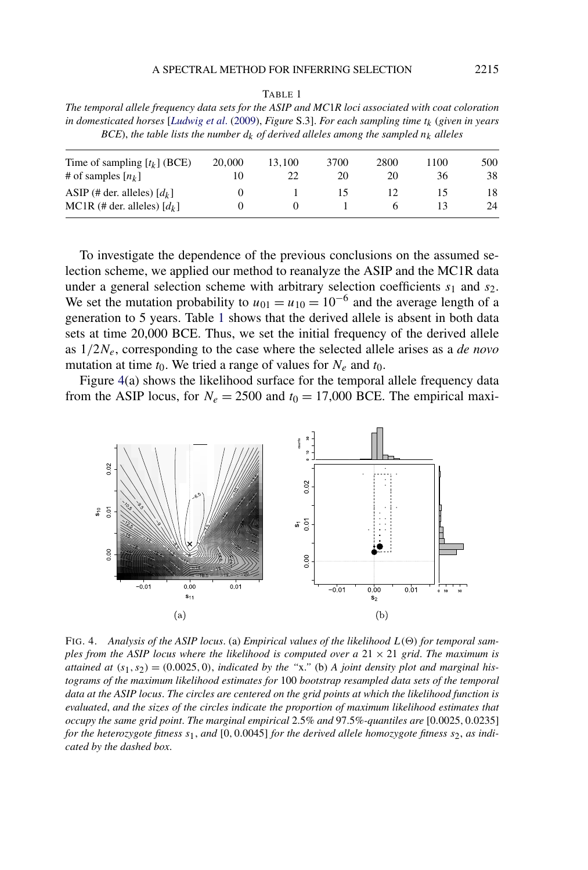|--|--|

<span id="page-12-0"></span>*The temporal allele frequency data sets for the ASIP and MC*1*R loci associated with coat coloration in domesticated horses* [*[Ludwig et al](#page-18-0)*. [\(2009\)](#page-18-0), *Figure* S.3]. *For each sampling time tk* (*given in years BCE*), *the table lists the number*  $d_k$  *of derived alleles among the sampled*  $n_k$  *alleles* 

| Time of sampling $[t_k]$ (BCE)<br># of samples $[n_k]$ | 20,000<br>10 | 13.100 | 3700<br>20 | 2800<br>20 | 1100<br>36 | 500<br>38 |
|--------------------------------------------------------|--------------|--------|------------|------------|------------|-----------|
| ASIP (# der. alleles) $\lceil d_k \rceil$              |              |        |            | 12         |            | 18        |
| MC1R (# der. alleles) $\lceil d_k \rceil$              |              |        |            |            |            | 24        |

To investigate the dependence of the previous conclusions on the assumed selection scheme, we applied our method to reanalyze the ASIP and the MC1R data under a general selection scheme with arbitrary selection coefficients  $s_1$  and  $s_2$ . We set the mutation probability to  $u_{01} = u_{10} = 10^{-6}$  and the average length of a generation to 5 years. Table 1 shows that the derived allele is absent in both data sets at time 20,000 BCE. Thus, we set the initial frequency of the derived allele as 1*/*2*Ne*, corresponding to the case where the selected allele arises as a *de novo* mutation at time  $t_0$ . We tried a range of values for  $N_e$  and  $t_0$ .

Figure 4(a) shows the likelihood surface for the temporal allele frequency data from the ASIP locus, for  $N_e = 2500$  and  $t_0 = 17,000$  BCE. The empirical maxi-



FIG. 4. Analysis of the ASIP locus. (a) *Empirical values of the likelihood*  $L(\Theta)$  for temporal sam*ples from the ASIP locus where the likelihood is computed over a* 21 × 21 *grid*. *The maximum is attained at*  $(s_1, s_2) = (0.0025, 0)$ , *indicated by the "x."* (b) *A joint density plot and marginal histograms of the maximum likelihood estimates for* 100 *bootstrap resampled data sets of the temporal data at the ASIP locus*. *The circles are centered on the grid points at which the likelihood function is evaluated*, *and the sizes of the circles indicate the proportion of maximum likelihood estimates that occupy the same grid point*. *The marginal empirical* 2.5*% and* 97.5*%-quantiles are* [0*.*0025*,* 0*.*0235] *for the heterozygote fitness s*1, *and* [0*,* 0*.*0045] *for the derived allele homozygote fitness s*2, *as indicated by the dashed box*.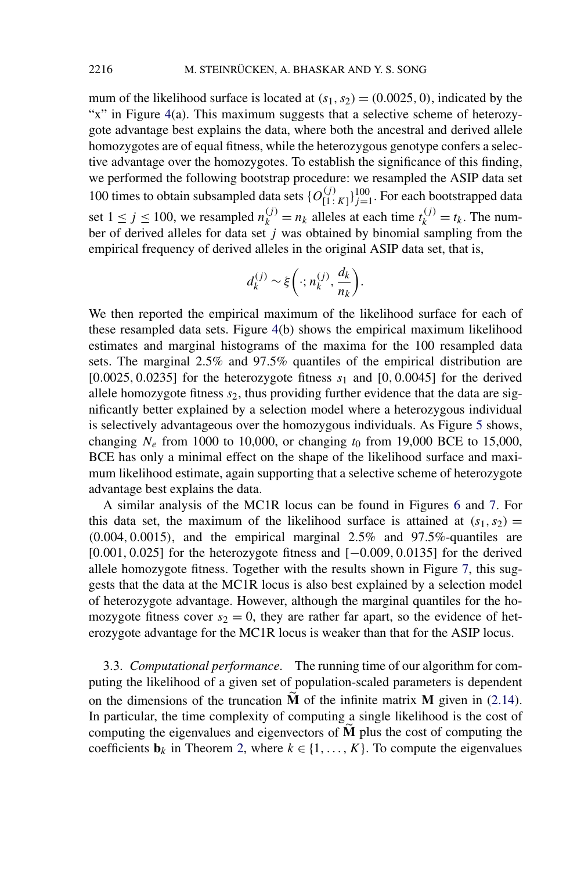<span id="page-13-0"></span>mum of the likelihood surface is located at  $(s_1, s_2) = (0.0025, 0)$ , indicated by the "x" in Figure [4\(](#page-12-0)a). This maximum suggests that a selective scheme of heterozygote advantage best explains the data, where both the ancestral and derived allele homozygotes are of equal fitness, while the heterozygous genotype confers a selective advantage over the homozygotes. To establish the significance of this finding, we performed the following bootstrap procedure: we resampled the ASIP data set 100 times to obtain subsampled data sets  $\{O_{[1:K]}^{(j)}\}_{j=1}^{100}$ . For each bootstrapped data set  $1 \le j \le 100$ , we resampled  $n_k^{(j)} = n_k$  alleles at each time  $t_k^{(j)} = t_k$ . The number of derived alleles for data set *j* was obtained by binomial sampling from the empirical frequency of derived alleles in the original ASIP data set, that is,

$$
d_k^{(j)} \sim \xi\bigg(\cdot; n_k^{(j)}, \frac{d_k}{n_k}\bigg).
$$

We then reported the empirical maximum of the likelihood surface for each of these resampled data sets. Figure [4\(](#page-12-0)b) shows the empirical maximum likelihood estimates and marginal histograms of the maxima for the 100 resampled data sets. The marginal 2.5% and 97.5% quantiles of the empirical distribution are  $[0.0025, 0.0235]$  for the heterozygote fitness  $s<sub>1</sub>$  and  $[0, 0.0045]$  for the derived allele homozygote fitness *s*2, thus providing further evidence that the data are significantly better explained by a selection model where a heterozygous individual is selectively advantageous over the homozygous individuals. As Figure [5](#page-14-0) shows, changing  $N_e$  from 1000 to 10,000, or changing  $t_0$  from 19,000 BCE to 15,000, BCE has only a minimal effect on the shape of the likelihood surface and maximum likelihood estimate, again supporting that a selective scheme of heterozygote advantage best explains the data.

A similar analysis of the MC1R locus can be found in Figures [6](#page-15-0) and [7.](#page-16-0) For this data set, the maximum of the likelihood surface is attained at  $(s_1, s_2)$  = *(*0*.*004*,* 0*.*0015*)*, and the empirical marginal 2.5% and 97.5%-quantiles are [0*.*001*,* 0*.*025] for the heterozygote fitness and [−0*.*009*,* 0*.*0135] for the derived allele homozygote fitness. Together with the results shown in Figure [7,](#page-16-0) this suggests that the data at the MC1R locus is also best explained by a selection model of heterozygote advantage. However, although the marginal quantiles for the homozygote fitness cover  $s_2 = 0$ , they are rather far apart, so the evidence of heterozygote advantage for the MC1R locus is weaker than that for the ASIP locus.

3.3. *Computational performance*. The running time of our algorithm for computing the likelihood of a given set of population-scaled parameters is dependent on the dimensions of the truncation **M** of the infinite matrix **M** given in [\(2.14\)](#page-6-0). In particular, the time complexity of computing a single likelihood is the cost of computing the eigenvalues and eigenvectors of  $\widetilde{M}$  plus the cost of computing the coefficients  $\mathbf{b}_k$  in Theorem [2,](#page-8-0) where  $k \in \{1, \ldots, K\}$ . To compute the eigenvalues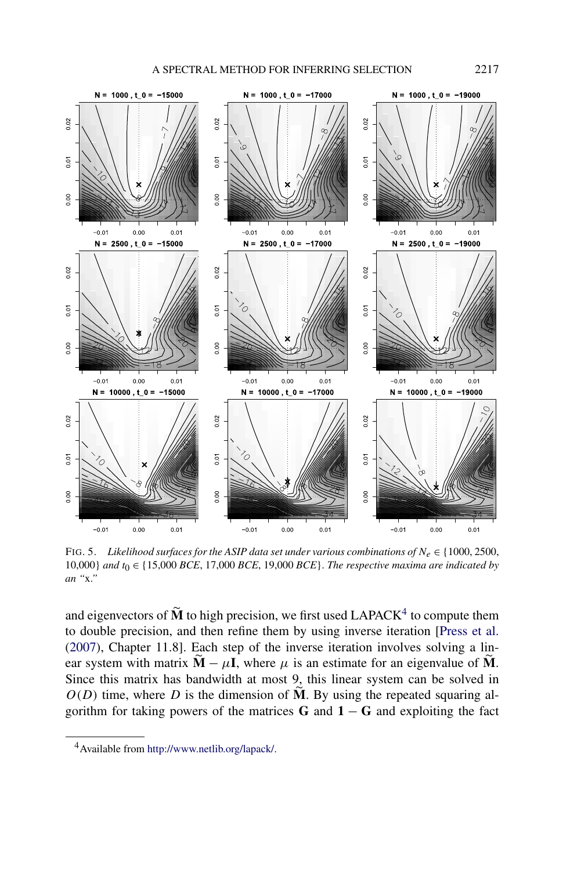<span id="page-14-0"></span>

FIG. 5. *Likelihood surfaces for the ASIP data set under various combinations of*  $N_e \in \{1000, 2500,$ 10,000} *and t*<sup>0</sup> ∈ {15,000 *BCE*, 17,000 *BCE*, 19,000 *BCE*}. *The respective maxima are indicated by an "*x.*"*

and eigenvectors of  $\widetilde{M}$  to high precision, we first used LAPACK<sup>4</sup> to compute them to double precision, and then refine them by using inverse iteration [\[Press et al.](#page-18-0) [\(2007\)](#page-18-0), Chapter 11.8]. Each step of the inverse iteration involves solving a linear system with matrix  $\dot{M} - \mu I$ , where  $\mu$  is an estimate for an eigenvalue of  $\dot{M}$ . Since this matrix has bandwidth at most 9, this linear system can be solved in  $O(D)$  time, where *D* is the dimension of  $\tilde{M}$ . By using the repeated squaring algorithm for taking powers of the matrices **G** and  $1 - G$  and exploiting the fact

<sup>4</sup>Available from [http://www.netlib.org/lapack/.](http://www.netlib.org/lapack/)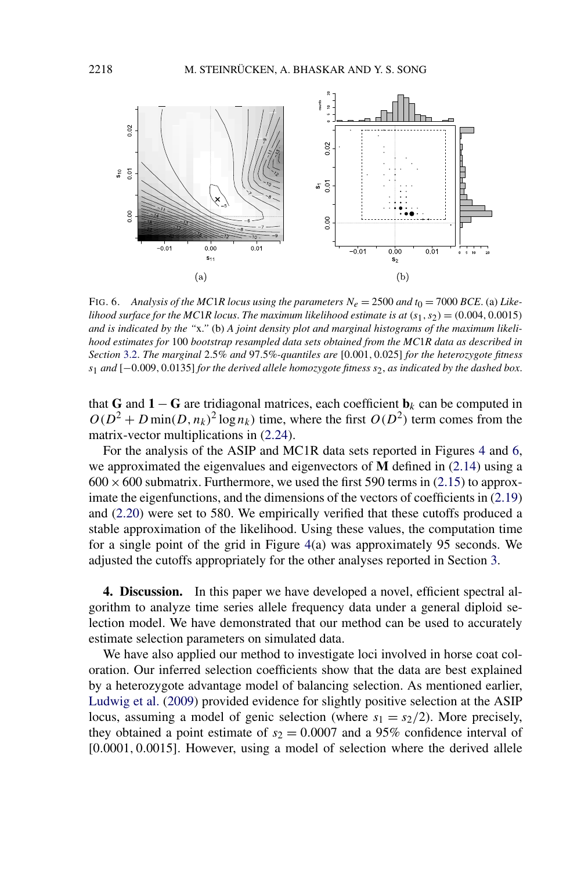<span id="page-15-0"></span>

FIG. 6. Analysis of the MC1R locus using the parameters  $N_e = 2500$  and  $t_0 = 7000$  BCE. (a) Like*lihood surface for the MC1R locus. The maximum likelihood estimate is at*  $(s_1, s_2) = (0.004, 0.0015)$ *and is indicated by the "*x.*"* (b) *A joint density plot and marginal histograms of the maximum likelihood estimates for* 100 *bootstrap resampled data sets obtained from the MC*1*R data as described in Section* [3.2.](#page-10-0) *The marginal* 2.5*% and* 97.5*%-quantiles are* [0*.*001*,* 0*.*025] *for the heterozygote fitness s*<sup>1</sup> *and* [−0*.*009*,* 0*.*0135] *for the derived allele homozygote fitness s*2, *as indicated by the dashed box*.

that **G** and **1** − **G** are tridiagonal matrices, each coefficient  $\mathbf{b}_k$  can be computed in  $O(D^2 + D \min(D, n_k)^2 \log n_k)$  time, where the first  $O(D^2)$  term comes from the matrix-vector multiplications in [\(2.24\)](#page-8-0).

For the analysis of the ASIP and MC1R data sets reported in Figures [4](#page-12-0) and 6, we approximated the eigenvalues and eigenvectors of **M** defined in [\(2.14\)](#page-6-0) using a  $600 \times 600$  submatrix. Furthermore, we used the first 590 terms in [\(2.15\)](#page-7-0) to approximate the eigenfunctions, and the dimensions of the vectors of coefficients in [\(2.19\)](#page-7-0) and [\(2.20\)](#page-7-0) were set to 580. We empirically verified that these cutoffs produced a stable approximation of the likelihood. Using these values, the computation time for a single point of the grid in Figure [4\(](#page-12-0)a) was approximately 95 seconds. We adjusted the cutoffs appropriately for the other analyses reported in Section [3.](#page-9-0)

**4. Discussion.** In this paper we have developed a novel, efficient spectral algorithm to analyze time series allele frequency data under a general diploid selection model. We have demonstrated that our method can be used to accurately estimate selection parameters on simulated data.

We have also applied our method to investigate loci involved in horse coat coloration. Our inferred selection coefficients show that the data are best explained by a heterozygote advantage model of balancing selection. As mentioned earlier, [Ludwig et al.](#page-18-0) [\(2009\)](#page-18-0) provided evidence for slightly positive selection at the ASIP locus, assuming a model of genic selection (where  $s_1 = s_2/2$ ). More precisely, they obtained a point estimate of  $s_2 = 0.0007$  and a 95% confidence interval of [0*.*0001*,* 0*.*0015]. However, using a model of selection where the derived allele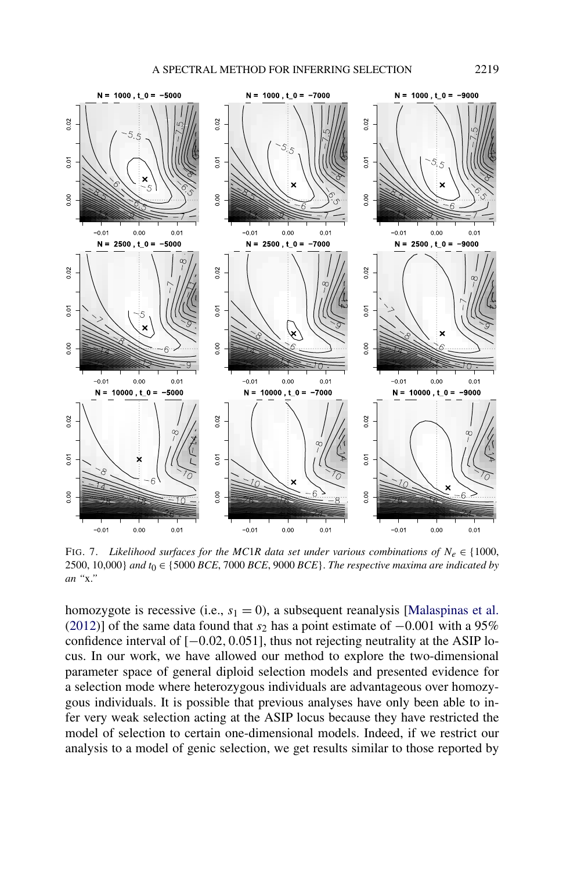<span id="page-16-0"></span>

FIG. 7. Likelihood surfaces for the MCIR data set under various combinations of  $N_e \in \{1000$ , 2500, 10,000} and  $t_0 \in \{5000 \text{ BCE}, 7000 \text{ BCE}, 9000 \text{ BCE}\}$ . The respective maxima are indicated by *an "*x.*"*

homozygote is recessive (i.e.,  $s_1 = 0$ ), a subsequent reanalysis [\[Malaspinas et al.](#page-18-0) [\(2012\)](#page-18-0)] of the same data found that  $s_2$  has a point estimate of  $-0.001$  with a 95% confidence interval of [−0*.*02*,* 0*.*051], thus not rejecting neutrality at the ASIP locus. In our work, we have allowed our method to explore the two-dimensional parameter space of general diploid selection models and presented evidence for a selection mode where heterozygous individuals are advantageous over homozygous individuals. It is possible that previous analyses have only been able to infer very weak selection acting at the ASIP locus because they have restricted the model of selection to certain one-dimensional models. Indeed, if we restrict our analysis to a model of genic selection, we get results similar to those reported by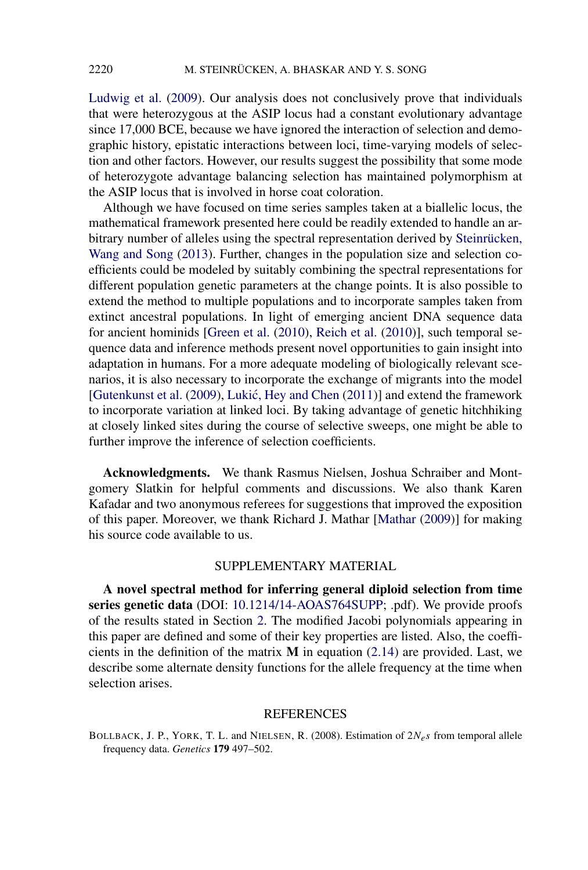[Ludwig et al.](#page-18-0) [\(2009\)](#page-18-0). Our analysis does not conclusively prove that individuals that were heterozygous at the ASIP locus had a constant evolutionary advantage since 17,000 BCE, because we have ignored the interaction of selection and demographic history, epistatic interactions between loci, time-varying models of selection and other factors. However, our results suggest the possibility that some mode of heterozygote advantage balancing selection has maintained polymorphism at the ASIP locus that is involved in horse coat coloration.

Although we have focused on time series samples taken at a biallelic locus, the mathematical framework presented here could be readily extended to handle an arbitrary number of alleles using the spectral representation derived by [Steinrücken,](#page-19-0) [Wang and Song](#page-19-0) [\(2013\)](#page-19-0). Further, changes in the population size and selection coefficients could be modeled by suitably combining the spectral representations for different population genetic parameters at the change points. It is also possible to extend the method to multiple populations and to incorporate samples taken from extinct ancestral populations. In light of emerging ancient DNA sequence data for ancient hominids [\[Green et al.](#page-18-0) [\(2010\)](#page-18-0), [Reich et al.](#page-18-0) [\(2010\)](#page-18-0)], such temporal sequence data and inference methods present novel opportunities to gain insight into adaptation in humans. For a more adequate modeling of biologically relevant scenarios, it is also necessary to incorporate the exchange of migrants into the model [\[Gutenkunst et al.](#page-18-0) [\(2009\)](#page-18-0), Lukić, Hey and Chen [\(2011\)](#page-18-0)] and extend the framework to incorporate variation at linked loci. By taking advantage of genetic hitchhiking at closely linked sites during the course of selective sweeps, one might be able to further improve the inference of selection coefficients.

**Acknowledgments.** We thank Rasmus Nielsen, Joshua Schraiber and Montgomery Slatkin for helpful comments and discussions. We also thank Karen Kafadar and two anonymous referees for suggestions that improved the exposition of this paper. Moreover, we thank Richard J. Mathar [\[Mathar](#page-18-0) [\(2009\)](#page-18-0)] for making his source code available to us.

## SUPPLEMENTARY MATERIAL

**A novel spectral method for inferring general diploid selection from time series genetic data** (DOI: [10.1214/14-AOAS764SUPP;](http://dx.doi.org/10.1214/14-AOAS764SUPP) .pdf). We provide proofs of the results stated in Section [2.](#page-3-0) The modified Jacobi polynomials appearing in this paper are defined and some of their key properties are listed. Also, the coefficients in the definition of the matrix **M** in equation [\(2.14\)](#page-6-0) are provided. Last, we describe some alternate density functions for the allele frequency at the time when selection arises.

## **REFERENCES**

BOLLBACK, J. P., YORK, T. L. and NIELSEN, R. (2008). Estimation of 2*Nes* from temporal allele frequency data. *Genetics* **179** 497–502.

<span id="page-17-0"></span>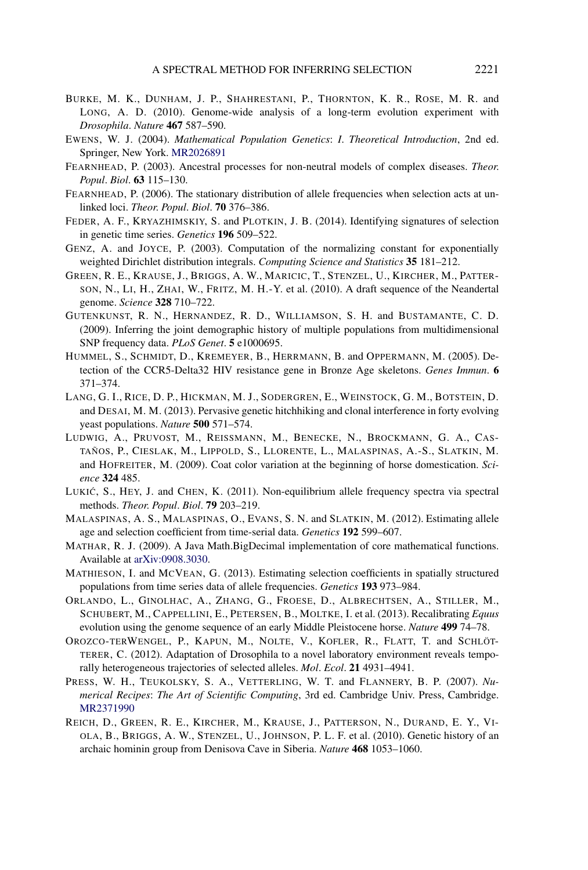- <span id="page-18-0"></span>BURKE, M. K., DUNHAM, J. P., SHAHRESTANI, P., THORNTON, K. R., ROSE, M. R. and LONG, A. D. (2010). Genome-wide analysis of a long-term evolution experiment with *Drosophila*. *Nature* **467** 587–590.
- EWENS, W. J. (2004). *Mathematical Population Genetics*: *I*. *Theoretical Introduction*, 2nd ed. Springer, New York. [MR2026891](http://www.ams.org/mathscinet-getitem?mr=2026891)
- FEARNHEAD, P. (2003). Ancestral processes for non-neutral models of complex diseases. *Theor*. *Popul*. *Biol*. **63** 115–130.
- FEARNHEAD, P. (2006). The stationary distribution of allele frequencies when selection acts at unlinked loci. *Theor*. *Popul*. *Biol*. **70** 376–386.
- FEDER, A. F., KRYAZHIMSKIY, S. and PLOTKIN, J. B. (2014). Identifying signatures of selection in genetic time series. *Genetics* **196** 509–522.
- GENZ, A. and JOYCE, P. (2003). Computation of the normalizing constant for exponentially weighted Dirichlet distribution integrals. *Computing Science and Statistics* **35** 181–212.
- GREEN, R. E., KRAUSE, J., BRIGGS, A. W., MARICIC, T., STENZEL, U., KIRCHER, M., PATTER-SON, N., LI, H., ZHAI, W., FRITZ, M. H.-Y. et al. (2010). A draft sequence of the Neandertal genome. *Science* **328** 710–722.
- GUTENKUNST, R. N., HERNANDEZ, R. D., WILLIAMSON, S. H. and BUSTAMANTE, C. D. (2009). Inferring the joint demographic history of multiple populations from multidimensional SNP frequency data. *PLoS Genet*. **5** e1000695.
- HUMMEL, S., SCHMIDT, D., KREMEYER, B., HERRMANN, B. and OPPERMANN, M. (2005). Detection of the CCR5-Delta32 HIV resistance gene in Bronze Age skeletons. *Genes Immun*. **6** 371–374.
- LANG, G. I., RICE, D. P., HICKMAN, M. J., SODERGREN, E., WEINSTOCK, G. M., BOTSTEIN, D. and DESAI, M. M. (2013). Pervasive genetic hitchhiking and clonal interference in forty evolving yeast populations. *Nature* **500** 571–574.
- LUDWIG, A., PRUVOST, M., REISSMANN, M., BENECKE, N., BROCKMANN, G. A., CAS-TAÑOS, P., CIESLAK, M., LIPPOLD, S., LLORENTE, L., MALASPINAS, A.-S., SLATKIN, M. and HOFREITER, M. (2009). Coat color variation at the beginning of horse domestication. *Science* **324** 485.
- LUKIĆ, S., HEY, J. and CHEN, K. (2011). Non-equilibrium allele frequency spectra via spectral methods. *Theor*. *Popul*. *Biol*. **79** 203–219.
- MALASPINAS, A. S., MALASPINAS, O., EVANS, S. N. and SLATKIN, M. (2012). Estimating allele age and selection coefficient from time-serial data. *Genetics* **192** 599–607.
- MATHAR, R. J. (2009). A Java Math.BigDecimal implementation of core mathematical functions. Available at [arXiv:0908.3030.](http://arxiv.org/abs/arXiv:0908.3030)
- MATHIESON, I. and MCVEAN, G. (2013). Estimating selection coefficients in spatially structured populations from time series data of allele frequencies. *Genetics* **193** 973–984.
- ORLANDO, L., GINOLHAC, A., ZHANG, G., FROESE, D., ALBRECHTSEN, A., STILLER, M., SCHUBERT, M., CAPPELLINI, E., PETERSEN, B., MOLTKE, I. et al. (2013). Recalibrating *Equus* evolution using the genome sequence of an early Middle Pleistocene horse. *Nature* **499** 74–78.
- OROZCO-TERWENGEL, P., KAPUN, M., NOLTE, V., KOFLER, R., FLATT, T. and SCHLÖT-TERER, C. (2012). Adaptation of Drosophila to a novel laboratory environment reveals temporally heterogeneous trajectories of selected alleles. *Mol*. *Ecol*. **21** 4931–4941.
- PRESS, W. H., TEUKOLSKY, S. A., VETTERLING, W. T. and FLANNERY, B. P. (2007). *Numerical Recipes*: *The Art of Scientific Computing*, 3rd ed. Cambridge Univ. Press, Cambridge. [MR2371990](http://www.ams.org/mathscinet-getitem?mr=2371990)
- REICH, D., GREEN, R. E., KIRCHER, M., KRAUSE, J., PATTERSON, N., DURAND, E. Y., VI-OLA, B., BRIGGS, A. W., STENZEL, U., JOHNSON, P. L. F. et al. (2010). Genetic history of an archaic hominin group from Denisova Cave in Siberia. *Nature* **468** 1053–1060.